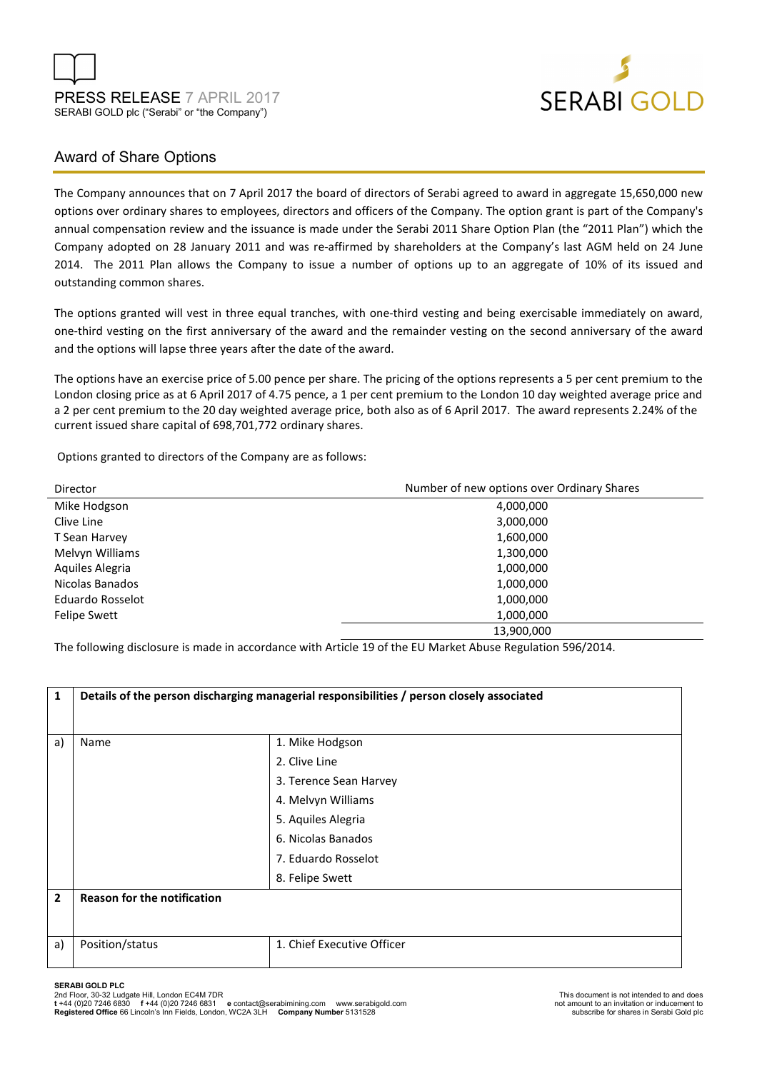



# Award of Share Options

The Company announces that on 7 April 2017 the board of directors of Serabi agreed to award in aggregate 15,650,000 new options over ordinary shares to employees, directors and officers of the Company. The option grant is part of the Company's annual compensation review and the issuance is made under the Serabi 2011 Share Option Plan (the "2011 Plan") which the Company adopted on 28 January 2011 and was re-affirmed by shareholders at the Company's last AGM held on 24 June 2014. The 2011 Plan allows the Company to issue a number of options up to an aggregate of 10% of its issued and outstanding common shares.

The options granted will vest in three equal tranches, with one-third vesting and being exercisable immediately on award, one-third vesting on the first anniversary of the award and the remainder vesting on the second anniversary of the award and the options will lapse three years after the date of the award.

The options have an exercise price of 5.00 pence per share. The pricing of the options represents a 5 per cent premium to the London closing price as at 6 April 2017 of 4.75 pence, a 1 per cent premium to the London 10 day weighted average price and a 2 per cent premium to the 20 day weighted average price, both also as of 6 April 2017. The award represents 2.24% of the current issued share capital of 698,701,772 ordinary shares.

Options granted to directors of the Company are as follows:

| Director            | Number of new options over Ordinary Shares |
|---------------------|--------------------------------------------|
| Mike Hodgson        | 4,000,000                                  |
| Clive Line          | 3,000,000                                  |
| T Sean Harvey       | 1,600,000                                  |
| Melvyn Williams     | 1,300,000                                  |
| Aquiles Alegria     | 1,000,000                                  |
| Nicolas Banados     | 1,000,000                                  |
| Eduardo Rosselot    | 1,000,000                                  |
| <b>Felipe Swett</b> | 1,000,000                                  |
|                     | 13,900,000                                 |

The following disclosure is made in accordance with Article 19 of the EU Market Abuse Regulation 596/2014.

| 1              | Details of the person discharging managerial responsibilities / person closely associated |                            |  |
|----------------|-------------------------------------------------------------------------------------------|----------------------------|--|
| a)             | Name                                                                                      | 1. Mike Hodgson            |  |
|                |                                                                                           | 2. Clive Line              |  |
|                |                                                                                           | 3. Terence Sean Harvey     |  |
|                |                                                                                           | 4. Melvyn Williams         |  |
|                |                                                                                           | 5. Aquiles Alegria         |  |
|                |                                                                                           | 6. Nicolas Banados         |  |
|                |                                                                                           | 7. Eduardo Rosselot        |  |
|                |                                                                                           | 8. Felipe Swett            |  |
| $\overline{2}$ | <b>Reason for the notification</b>                                                        |                            |  |
|                |                                                                                           |                            |  |
| a)             | Position/status                                                                           | 1. Chief Executive Officer |  |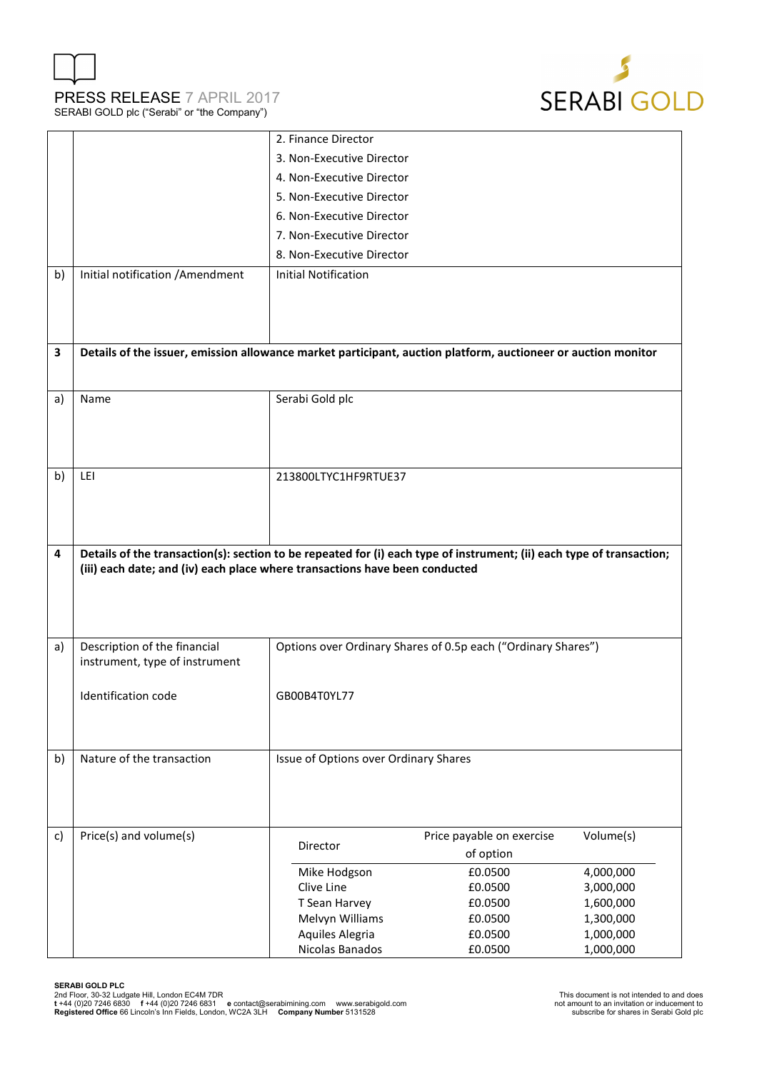



|    |                                                                                                                       | 2. Finance Director                   |                                                               |                        |  |  |  |
|----|-----------------------------------------------------------------------------------------------------------------------|---------------------------------------|---------------------------------------------------------------|------------------------|--|--|--|
|    |                                                                                                                       | 3. Non-Executive Director             |                                                               |                        |  |  |  |
|    |                                                                                                                       | 4. Non-Executive Director             |                                                               |                        |  |  |  |
|    |                                                                                                                       | 5. Non-Executive Director             |                                                               |                        |  |  |  |
|    |                                                                                                                       | 6. Non-Executive Director             |                                                               |                        |  |  |  |
|    |                                                                                                                       | 7. Non-Executive Director             |                                                               |                        |  |  |  |
|    |                                                                                                                       | 8. Non-Executive Director             |                                                               |                        |  |  |  |
|    |                                                                                                                       |                                       |                                                               |                        |  |  |  |
| b) | Initial notification / Amendment                                                                                      | <b>Initial Notification</b>           |                                                               |                        |  |  |  |
|    |                                                                                                                       |                                       |                                                               |                        |  |  |  |
|    |                                                                                                                       |                                       |                                                               |                        |  |  |  |
| 3  | Details of the issuer, emission allowance market participant, auction platform, auctioneer or auction monitor         |                                       |                                                               |                        |  |  |  |
|    |                                                                                                                       |                                       |                                                               |                        |  |  |  |
|    |                                                                                                                       |                                       |                                                               |                        |  |  |  |
| a) | Name                                                                                                                  | Serabi Gold plc                       |                                                               |                        |  |  |  |
|    |                                                                                                                       |                                       |                                                               |                        |  |  |  |
|    |                                                                                                                       |                                       |                                                               |                        |  |  |  |
|    |                                                                                                                       |                                       |                                                               |                        |  |  |  |
| b) | LEI                                                                                                                   | 213800LTYC1HF9RTUE37                  |                                                               |                        |  |  |  |
|    |                                                                                                                       |                                       |                                                               |                        |  |  |  |
|    |                                                                                                                       |                                       |                                                               |                        |  |  |  |
|    |                                                                                                                       |                                       |                                                               |                        |  |  |  |
|    |                                                                                                                       |                                       |                                                               |                        |  |  |  |
| 4  | Details of the transaction(s): section to be repeated for (i) each type of instrument; (ii) each type of transaction; |                                       |                                                               |                        |  |  |  |
|    | (iii) each date; and (iv) each place where transactions have been conducted                                           |                                       |                                                               |                        |  |  |  |
|    |                                                                                                                       |                                       |                                                               |                        |  |  |  |
|    |                                                                                                                       |                                       |                                                               |                        |  |  |  |
|    |                                                                                                                       |                                       |                                                               |                        |  |  |  |
| a) | Description of the financial                                                                                          |                                       | Options over Ordinary Shares of 0.5p each ("Ordinary Shares") |                        |  |  |  |
|    | instrument, type of instrument                                                                                        |                                       |                                                               |                        |  |  |  |
|    |                                                                                                                       |                                       |                                                               |                        |  |  |  |
|    | Identification code                                                                                                   | GB00B4T0YL77                          |                                                               |                        |  |  |  |
|    |                                                                                                                       |                                       |                                                               |                        |  |  |  |
|    |                                                                                                                       |                                       |                                                               |                        |  |  |  |
| b) | Nature of the transaction                                                                                             | Issue of Options over Ordinary Shares |                                                               |                        |  |  |  |
|    |                                                                                                                       |                                       |                                                               |                        |  |  |  |
|    |                                                                                                                       |                                       |                                                               |                        |  |  |  |
|    |                                                                                                                       |                                       |                                                               |                        |  |  |  |
| c) | Price(s) and volume(s)                                                                                                | Director                              | Price payable on exercise                                     | Volume(s)              |  |  |  |
|    |                                                                                                                       |                                       | of option                                                     |                        |  |  |  |
|    |                                                                                                                       | Mike Hodgson                          | £0.0500                                                       | 4,000,000              |  |  |  |
|    |                                                                                                                       | Clive Line                            | £0.0500                                                       | 3,000,000              |  |  |  |
|    |                                                                                                                       | T Sean Harvey                         | £0.0500<br>£0.0500                                            | 1,600,000<br>1,300,000 |  |  |  |
|    |                                                                                                                       | Melvyn Williams<br>Aquiles Alegria    | £0.0500                                                       | 1,000,000              |  |  |  |